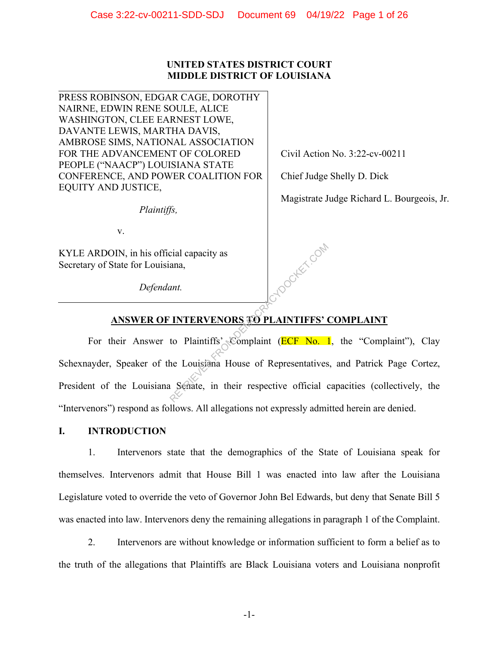# **UNITED STATES DISTRICT COURT MIDDLE DISTRICT OF LOUISIANA**

PRESS ROBINSON, EDGAR CAGE, DOROTHY NAIRNE, EDWIN RENE SOULE, ALICE WASHINGTON, CLEE EARNEST LOWE, DAVANTE LEWIS, MARTHA DAVIS, AMBROSE SIMS, NATIONAL ASSOCIATION FOR THE ADVANCEMENT OF COLORED PEOPLE ("NAACP") LOUISIANA STATE CONFERENCE, AND POWER COALITION FOR EQUITY AND JUSTICE,

*Plaintiffs,*

v.

KYLE ARDOIN, in his official capacity as Secretary of State for Louisiana,

*Defendant.* 

Civil Action No. 3:22-cv-00211

Chief Judge Shelly D. Dick

HDOCKET.COM

Magistrate Judge Richard L. Bourgeois, Jr.

# **ANSWER OF INTERVENORS TO PLAINTIFFS' COMPLAINT**

For their Answer to Plaintiffs' Complaint ( $\overline{ECF}$  No. 1, the "Complaint"), Clay Schexnayder, Speaker of the Louisiana House of Representatives, and Patrick Page Cortez, President of the Louisiana Senate, in their respective official capacities (collectively, the "Intervenors") respond as follows. All allegations not expressly admitted herein are denied.

# **I. INTRODUCTION**

1. Intervenors state that the demographics of the State of Louisiana speak for themselves. Intervenors admit that House Bill 1 was enacted into law after the Louisiana Legislature voted to override the veto of Governor John Bel Edwards, but deny that Senate Bill 5 was enacted into law. Intervenors deny the remaining allegations in paragraph 1 of the Complaint.

2. Intervenors are without knowledge or information sufficient to form a belief as to the truth of the allegations that Plaintiffs are Black Louisiana voters and Louisiana nonprofit

-1-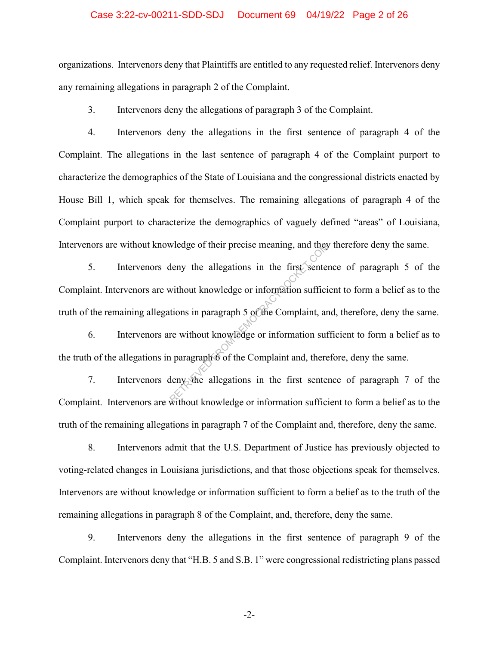## Case 3:22-cv-00211-SDD-SDJ Document 69 04/19/22 Page 2 of 26

organizations. Intervenors deny that Plaintiffs are entitled to any requested relief. Intervenors deny any remaining allegations in paragraph 2 of the Complaint.

3. Intervenors deny the allegations of paragraph 3 of the Complaint.

4. Intervenors deny the allegations in the first sentence of paragraph 4 of the Complaint. The allegations in the last sentence of paragraph 4 of the Complaint purport to characterize the demographics of the State of Louisiana and the congressional districts enacted by House Bill 1, which speak for themselves. The remaining allegations of paragraph 4 of the Complaint purport to characterize the demographics of vaguely defined "areas" of Louisiana, Intervenors are without knowledge of their precise meaning, and they therefore deny the same.

5. Intervenors deny the allegations in the first sentence of paragraph 5 of the Complaint. Intervenors are without knowledge or information sufficient to form a belief as to the truth of the remaining allegations in paragraph 5 of the Complaint, and, therefore, deny the same. wledge of their precise meaning, and they<br>deny the allegations in the first senter<br>without knowledge or information suffici<br>tions in paragraph 5 of the Complaint, ar<br>re without knowledge or information suffici<br>allegations

6. Intervenors are without knowledge or information sufficient to form a belief as to the truth of the allegations in paragraph 6 of the Complaint and, therefore, deny the same.

7. Intervenors deny the allegations in the first sentence of paragraph 7 of the Complaint. Intervenors are without knowledge or information sufficient to form a belief as to the truth of the remaining allegations in paragraph 7 of the Complaint and, therefore, deny the same.

8. Intervenors admit that the U.S. Department of Justice has previously objected to voting-related changes in Louisiana jurisdictions, and that those objections speak for themselves. Intervenors are without knowledge or information sufficient to form a belief as to the truth of the remaining allegations in paragraph 8 of the Complaint, and, therefore, deny the same.

9. Intervenors deny the allegations in the first sentence of paragraph 9 of the Complaint. Intervenors deny that "H.B. 5 and S.B. 1" were congressional redistricting plans passed

-2-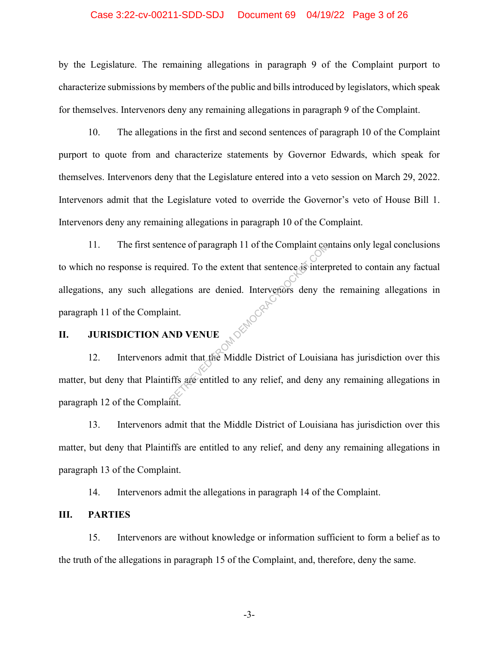## Case 3:22-cv-00211-SDD-SDJ Document 69 04/19/22 Page 3 of 26

by the Legislature. The remaining allegations in paragraph 9 of the Complaint purport to characterize submissions by members of the public and bills introduced by legislators, which speak for themselves. Intervenors deny any remaining allegations in paragraph 9 of the Complaint.

10. The allegations in the first and second sentences of paragraph 10 of the Complaint purport to quote from and characterize statements by Governor Edwards, which speak for themselves. Intervenors deny that the Legislature entered into a veto session on March 29, 2022. Intervenors admit that the Legislature voted to override the Governor's veto of House Bill 1. Intervenors deny any remaining allegations in paragraph 10 of the Complaint.

11. The first sentence of paragraph 11 of the Complaint contains only legal conclusions to which no response is required. To the extent that sentence is interpreted to contain any factual allegations, any such allegations are denied. Intervenors deny the remaining allegations in paragraph 11 of the Complaint. paragraph 11 of the Complaint. Priori and the Complaint contract of paragraph 11 of the Complaint contract of the extent that sentence as interpretentions are denied. Intervenors deny the sentity of the Middle District of Louisia if the same entitled to

## **II. JURISDICTION AND VENUE**

12. Intervenors admit that the Middle District of Louisiana has jurisdiction over this matter, but deny that Plaintiffs are entitled to any relief, and deny any remaining allegations in paragraph 12 of the Complaint.

13. Intervenors admit that the Middle District of Louisiana has jurisdiction over this matter, but deny that Plaintiffs are entitled to any relief, and deny any remaining allegations in paragraph 13 of the Complaint.

14. Intervenors admit the allegations in paragraph 14 of the Complaint.

## **III. PARTIES**

15. Intervenors are without knowledge or information sufficient to form a belief as to the truth of the allegations in paragraph 15 of the Complaint, and, therefore, deny the same.

-3-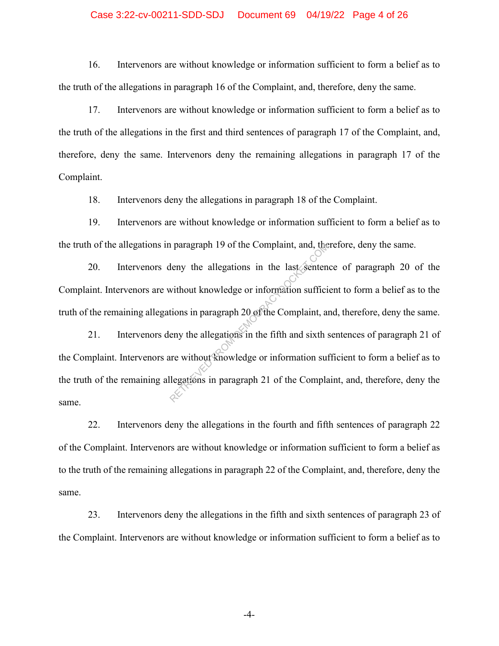## Case 3:22-cv-00211-SDD-SDJ Document 69 04/19/22 Page 4 of 26

16. Intervenors are without knowledge or information sufficient to form a belief as to the truth of the allegations in paragraph 16 of the Complaint, and, therefore, deny the same.

17. Intervenors are without knowledge or information sufficient to form a belief as to the truth of the allegations in the first and third sentences of paragraph 17 of the Complaint, and, therefore, deny the same. Intervenors deny the remaining allegations in paragraph 17 of the Complaint.

18. Intervenors deny the allegations in paragraph 18 of the Complaint.

19. Intervenors are without knowledge or information sufficient to form a belief as to the truth of the allegations in paragraph 19 of the Complaint, and, therefore, deny the same.

20. Intervenors deny the allegations in the last sentence of paragraph 20 of the Complaint. Intervenors are without knowledge or information sufficient to form a belief as to the truth of the remaining allegations in paragraph 20 of the Complaint, and, therefore, deny the same.

21. Intervenors deny the allegations in the fifth and sixth sentences of paragraph 21 of the Complaint. Intervenors are without knowledge or information sufficient to form a belief as to the truth of the remaining allegations in paragraph 21 of the Complaint, and, therefore, deny the same. The paragraph 19 of the Complaint, and, the<br>leny the allegations in the last senten<br>without knowledge or information suffici<br>tions in paragraph 20 of the Complaint, an<br>eny the allegations in the fifth and sixth s<br>are witho

22. Intervenors deny the allegations in the fourth and fifth sentences of paragraph 22 of the Complaint. Intervenors are without knowledge or information sufficient to form a belief as to the truth of the remaining allegations in paragraph 22 of the Complaint, and, therefore, deny the same.

23. Intervenors deny the allegations in the fifth and sixth sentences of paragraph 23 of the Complaint. Intervenors are without knowledge or information sufficient to form a belief as to

-4-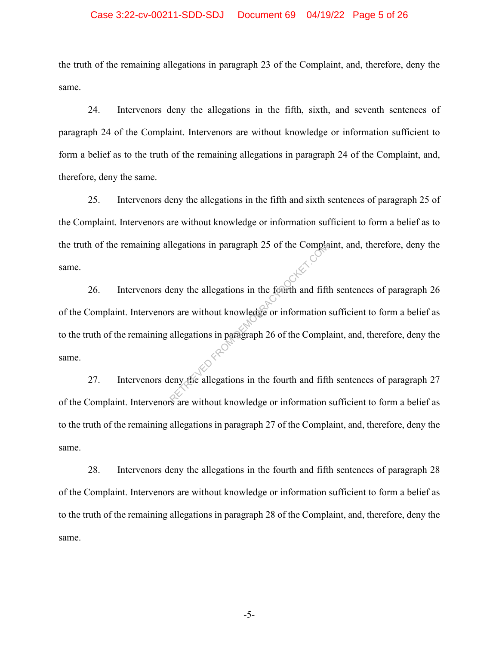## Case 3:22-cv-00211-SDD-SDJ Document 69 04/19/22 Page 5 of 26

the truth of the remaining allegations in paragraph 23 of the Complaint, and, therefore, deny the same.

24. Intervenors deny the allegations in the fifth, sixth, and seventh sentences of paragraph 24 of the Complaint. Intervenors are without knowledge or information sufficient to form a belief as to the truth of the remaining allegations in paragraph 24 of the Complaint, and, therefore, deny the same.

25. Intervenors deny the allegations in the fifth and sixth sentences of paragraph 25 of the Complaint. Intervenors are without knowledge or information sufficient to form a belief as to the truth of the remaining allegations in paragraph 25 of the Complaint, and, therefore, deny the same.

26. Intervenors deny the allegations in the fourth and fifth sentences of paragraph 26 of the Complaint. Intervenors are without knowledge or information sufficient to form a belief as to the truth of the remaining allegations in paragraph 26 of the Complaint, and, therefore, deny the same. Reporting the allegations in the fourth and fift<br>
report the allegations in the fourth and fift<br>
responses to the Complete of the Complete<br>
engage of the Complete allegations in the fourth and fift<br>
represented the substan

27. Intervenors deny the allegations in the fourth and fifth sentences of paragraph 27 of the Complaint. Intervenors are without knowledge or information sufficient to form a belief as to the truth of the remaining allegations in paragraph 27 of the Complaint, and, therefore, deny the same.

28. Intervenors deny the allegations in the fourth and fifth sentences of paragraph 28 of the Complaint. Intervenors are without knowledge or information sufficient to form a belief as to the truth of the remaining allegations in paragraph 28 of the Complaint, and, therefore, deny the same.

-5-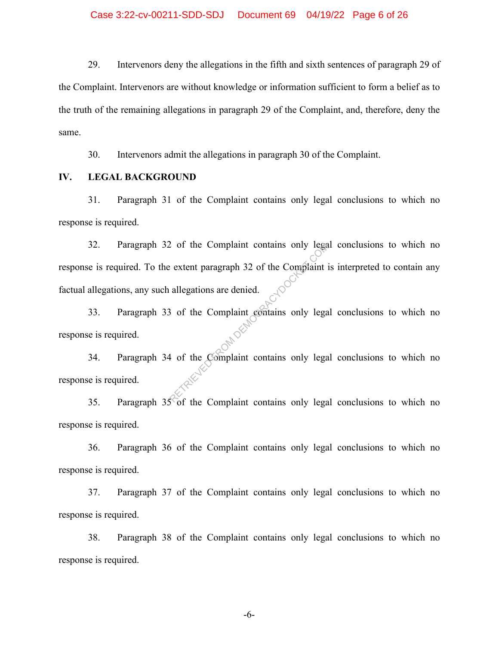29. Intervenors deny the allegations in the fifth and sixth sentences of paragraph 29 of the Complaint. Intervenors are without knowledge or information sufficient to form a belief as to the truth of the remaining allegations in paragraph 29 of the Complaint, and, therefore, deny the same.

30. Intervenors admit the allegations in paragraph 30 of the Complaint.

## **IV. LEGAL BACKGROUND**

31. Paragraph 31 of the Complaint contains only legal conclusions to which no response is required.

32. Paragraph 32 of the Complaint contains only legal conclusions to which no response is required. To the extent paragraph 32 of the Complaint is interpreted to contain any factual allegations, any such allegations are denied. Representative of the Complaint sextent paragraph 32 of the Complaint is<br>allegations are denied.<br>But the Complaint contains only legals of the Complaint contains only legals

33. Paragraph 33 of the Complaint contains only legal conclusions to which no<br>se is required. response is required.

34. Paragraph 34 of the Complaint contains only legal conclusions to which no response is required.

35. Paragraph  $35\,\mathrm{\degree}$  of the Complaint contains only legal conclusions to which no response is required.

36. Paragraph 36 of the Complaint contains only legal conclusions to which no response is required.

37. Paragraph 37 of the Complaint contains only legal conclusions to which no response is required.

38. Paragraph 38 of the Complaint contains only legal conclusions to which no response is required.

-6-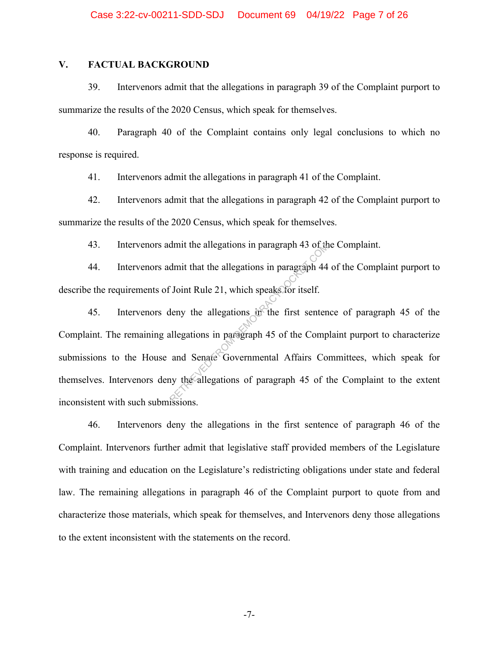## **V. FACTUAL BACKGROUND**

39. Intervenors admit that the allegations in paragraph 39 of the Complaint purport to summarize the results of the 2020 Census, which speak for themselves.

40. Paragraph 40 of the Complaint contains only legal conclusions to which no response is required.

41. Intervenors admit the allegations in paragraph 41 of the Complaint.

42. Intervenors admit that the allegations in paragraph 42 of the Complaint purport to summarize the results of the 2020 Census, which speak for themselves.

43. Intervenors admit the allegations in paragraph 43 of the Complaint.

44. Intervenors admit that the allegations in paragraph 44 of the Complaint purport to describe the requirements of Joint Rule 21, which speaks for itself.

45. Intervenors deny the allegations in the first sentence of paragraph 45 of the Complaint. The remaining allegations in paragraph 45 of the Complaint purport to characterize submissions to the House and Senate Governmental Affairs Committees, which speak for themselves. Intervenors deny the allegations of paragraph 45 of the Complaint to the extent inconsistent with such submissions. dmit the allegations in paragraph 43 of the<br>dmit that the allegations in paragraph 44<br>Coint Rule 21, which speaks for itself.<br>leny the allegations in the first senten<br>allegations in paragraph 45 of the Comp<br>and Senate Gove

46. Intervenors deny the allegations in the first sentence of paragraph 46 of the Complaint. Intervenors further admit that legislative staff provided members of the Legislature with training and education on the Legislature's redistricting obligations under state and federal law. The remaining allegations in paragraph 46 of the Complaint purport to quote from and characterize those materials, which speak for themselves, and Intervenors deny those allegations to the extent inconsistent with the statements on the record.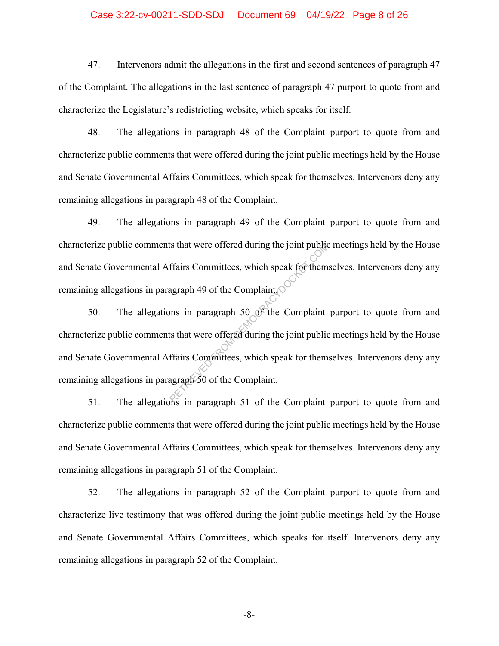## Case 3:22-cv-00211-SDD-SDJ Document 69 04/19/22 Page 8 of 26

47. Intervenors admit the allegations in the first and second sentences of paragraph 47 of the Complaint. The allegations in the last sentence of paragraph 47 purport to quote from and characterize the Legislature's redistricting website, which speaks for itself.

48. The allegations in paragraph 48 of the Complaint purport to quote from and characterize public comments that were offered during the joint public meetings held by the House and Senate Governmental Affairs Committees, which speak for themselves. Intervenors deny any remaining allegations in paragraph 48 of the Complaint.

49. The allegations in paragraph 49 of the Complaint purport to quote from and characterize public comments that were offered during the joint public meetings held by the House and Senate Governmental Affairs Committees, which speak for themselves. Intervenors deny any remaining allegations in paragraph 49 of the Complaint.

50. The allegations in paragraph 50 of the Complaint purport to quote from and characterize public comments that were offered during the joint public meetings held by the House and Senate Governmental Affairs Committees, which speak for themselves. Intervenors deny any remaining allegations in paragraph 50 of the Complaint. Its that were offered during the joint public<br>
ffairs Committees, which speak for them<br>
agraph 49 of the Complaint<br>
ons in paragraph 50 of the Complaint<br>
ts that were offered during the joint public<br>
ffairs Committees, whi

51. The allegations in paragraph 51 of the Complaint purport to quote from and characterize public comments that were offered during the joint public meetings held by the House and Senate Governmental Affairs Committees, which speak for themselves. Intervenors deny any remaining allegations in paragraph 51 of the Complaint.

52. The allegations in paragraph 52 of the Complaint purport to quote from and characterize live testimony that was offered during the joint public meetings held by the House and Senate Governmental Affairs Committees, which speaks for itself. Intervenors deny any remaining allegations in paragraph 52 of the Complaint.

-8-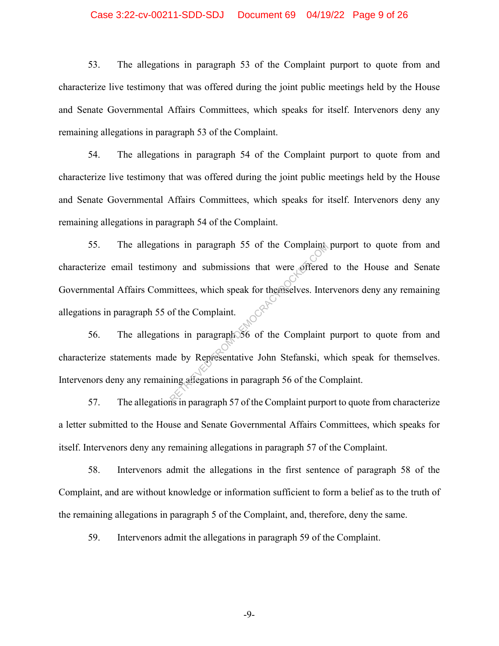## Case 3:22-cv-00211-SDD-SDJ Document 69 04/19/22 Page 9 of 26

53. The allegations in paragraph 53 of the Complaint purport to quote from and characterize live testimony that was offered during the joint public meetings held by the House and Senate Governmental Affairs Committees, which speaks for itself. Intervenors deny any remaining allegations in paragraph 53 of the Complaint.

54. The allegations in paragraph 54 of the Complaint purport to quote from and characterize live testimony that was offered during the joint public meetings held by the House and Senate Governmental Affairs Committees, which speaks for itself. Intervenors deny any remaining allegations in paragraph 54 of the Complaint.

55. The allegations in paragraph 55 of the Complaint purport to quote from and characterize email testimony and submissions that were offered to the House and Senate Governmental Affairs Committees, which speak for themselves. Intervenors deny any remaining allegations in paragraph 55 of the Complaint. In paragraph 55 of the Complaint<br>
in and submissions that were offered<br>
in the Submissions that were offered<br>
in the Complaint.<br>
In paragraph 56 of the Complaint<br>
in paragraph 56 of the Complaint<br>
in paragraph 57 of the Co

56. The allegations in paragraph 56 of the Complaint purport to quote from and characterize statements made by Representative John Stefanski, which speak for themselves. Intervenors deny any remaining allegations in paragraph 56 of the Complaint.

57. The allegations in paragraph 57 of the Complaint purport to quote from characterize a letter submitted to the House and Senate Governmental Affairs Committees, which speaks for itself. Intervenors deny any remaining allegations in paragraph 57 of the Complaint.

58. Intervenors admit the allegations in the first sentence of paragraph 58 of the Complaint, and are without knowledge or information sufficient to form a belief as to the truth of the remaining allegations in paragraph 5 of the Complaint, and, therefore, deny the same.

59. Intervenors admit the allegations in paragraph 59 of the Complaint.

-9-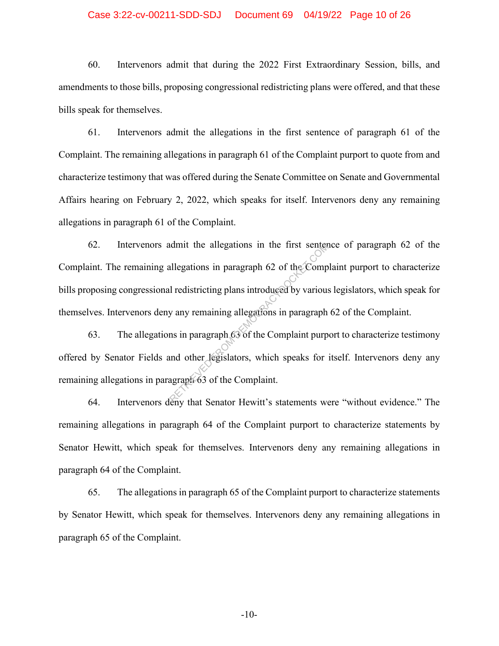## Case 3:22-cv-00211-SDD-SDJ Document 69 04/19/22 Page 10 of 26

60. Intervenors admit that during the 2022 First Extraordinary Session, bills, and amendments to those bills, proposing congressional redistricting plans were offered, and that these bills speak for themselves.

61. Intervenors admit the allegations in the first sentence of paragraph 61 of the Complaint. The remaining allegations in paragraph 61 of the Complaint purport to quote from and characterize testimony that was offered during the Senate Committee on Senate and Governmental Affairs hearing on February 2, 2022, which speaks for itself. Intervenors deny any remaining allegations in paragraph 61 of the Complaint.

62. Intervenors admit the allegations in the first sentence of paragraph 62 of the Complaint. The remaining allegations in paragraph 62 of the Complaint purport to characterize bills proposing congressional redistricting plans introduced by various legislators, which speak for themselves. Intervenors deny any remaining allegations in paragraph 62 of the Complaint. In the first senter<br>
Illegations in paragraph 62 of the Comp<br>
I redistricting plans introduced by various<br>
y any remaining allegations in paragraph<br>
ms in paragraph 63 of the Complaint purp<br>
any that Senator Howitt's state

63. The allegations in paragraph 63 of the Complaint purport to characterize testimony offered by Senator Fields and other legislators, which speaks for itself. Intervenors deny any remaining allegations in paragraph 63 of the Complaint.

64. Intervenors deny that Senator Hewitt's statements were "without evidence." The remaining allegations in paragraph 64 of the Complaint purport to characterize statements by Senator Hewitt, which speak for themselves. Intervenors deny any remaining allegations in paragraph 64 of the Complaint.

65. The allegations in paragraph 65 of the Complaint purport to characterize statements by Senator Hewitt, which speak for themselves. Intervenors deny any remaining allegations in paragraph 65 of the Complaint.

-10-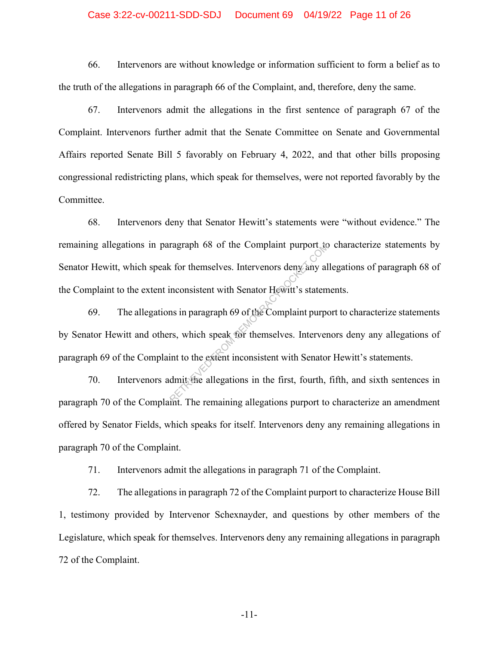## Case 3:22-cv-00211-SDD-SDJ Document 69 04/19/22 Page 11 of 26

66. Intervenors are without knowledge or information sufficient to form a belief as to the truth of the allegations in paragraph 66 of the Complaint, and, therefore, deny the same.

67. Intervenors admit the allegations in the first sentence of paragraph 67 of the Complaint. Intervenors further admit that the Senate Committee on Senate and Governmental Affairs reported Senate Bill 5 favorably on February 4, 2022, and that other bills proposing congressional redistricting plans, which speak for themselves, were not reported favorably by the Committee.

68. Intervenors deny that Senator Hewitt's statements were "without evidence." The remaining allegations in paragraph 68 of the Complaint purport to characterize statements by Senator Hewitt, which speak for themselves. Intervenors deny any allegations of paragraph 68 of the Complaint to the extent inconsistent with Senator Hewitt's statements.

69. The allegations in paragraph 69 of the Complaint purport to characterize statements by Senator Hewitt and others, which speak for themselves. Intervenors deny any allegations of paragraph 69 of the Complaint to the extent inconsistent with Senator Hewitt's statements. ragraph 68 of the Complaint purport to<br>
the for themselves. Intervenors deny any allocations in paragraph 69 of the Complaint purport<br>
ins in paragraph 69 of the Complaint purport<br>
ins, which speak for themselves. Interver

70. Intervenors admit the allegations in the first, fourth, fifth, and sixth sentences in paragraph 70 of the Complaint. The remaining allegations purport to characterize an amendment offered by Senator Fields, which speaks for itself. Intervenors deny any remaining allegations in paragraph 70 of the Complaint.

71. Intervenors admit the allegations in paragraph 71 of the Complaint.

72. The allegations in paragraph 72 of the Complaint purport to characterize House Bill 1, testimony provided by Intervenor Schexnayder, and questions by other members of the Legislature, which speak for themselves. Intervenors deny any remaining allegations in paragraph 72 of the Complaint.

-11-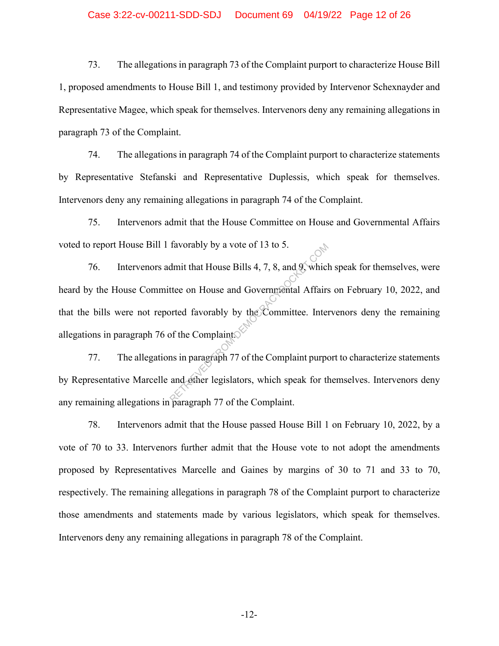## Case 3:22-cv-00211-SDD-SDJ Document 69 04/19/22 Page 12 of 26

73. The allegations in paragraph 73 of the Complaint purport to characterize House Bill 1, proposed amendments to House Bill 1, and testimony provided by Intervenor Schexnayder and Representative Magee, which speak for themselves. Intervenors deny any remaining allegations in paragraph 73 of the Complaint.

74. The allegations in paragraph 74 of the Complaint purport to characterize statements by Representative Stefanski and Representative Duplessis, which speak for themselves. Intervenors deny any remaining allegations in paragraph 74 of the Complaint.

75. Intervenors admit that the House Committee on House and Governmental Affairs voted to report House Bill 1 favorably by a vote of 13 to 5.

76. Intervenors admit that House Bills 4, 7, 8, and 9, which speak for themselves, were heard by the House Committee on House and Governmental Affairs on February 10, 2022, and that the bills were not reported favorably by the Committee. Intervenors deny the remaining allegations in paragraph 76 of the Complaint. From House Bills 4, 7, 8, and 9, which<br>the on House and Governmental Affairs<br>orted favorably by the Committee. Inter-<br>of the Complaint.

77. The allegations in paragraph 77 of the Complaint purport to characterize statements by Representative Marcelle and other legislators, which speak for themselves. Intervenors deny any remaining allegations in paragraph 77 of the Complaint.

78. Intervenors admit that the House passed House Bill 1 on February 10, 2022, by a vote of 70 to 33. Intervenors further admit that the House vote to not adopt the amendments proposed by Representatives Marcelle and Gaines by margins of 30 to 71 and 33 to 70, respectively. The remaining allegations in paragraph 78 of the Complaint purport to characterize those amendments and statements made by various legislators, which speak for themselves. Intervenors deny any remaining allegations in paragraph 78 of the Complaint.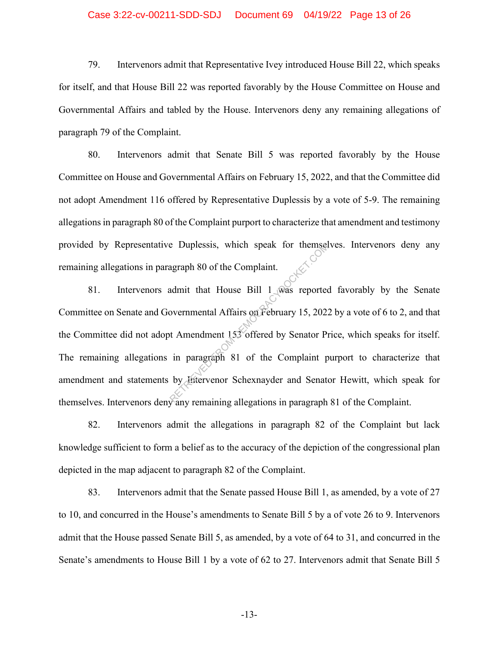## Case 3:22-cv-00211-SDD-SDJ Document 69 04/19/22 Page 13 of 26

79. Intervenors admit that Representative Ivey introduced House Bill 22, which speaks for itself, and that House Bill 22 was reported favorably by the House Committee on House and Governmental Affairs and tabled by the House. Intervenors deny any remaining allegations of paragraph 79 of the Complaint.

80. Intervenors admit that Senate Bill 5 was reported favorably by the House Committee on House and Governmental Affairs on February 15, 2022, and that the Committee did not adopt Amendment 116 offered by Representative Duplessis by a vote of 5-9. The remaining allegations in paragraph 80 of the Complaint purport to characterize that amendment and testimony provided by Representative Duplessis, which speak for themselves. Intervenors deny any remaining allegations in paragraph 80 of the Complaint.

81. Intervenors admit that House Bill 1 was reported favorably by the Senate Committee on Senate and Governmental Affairs on February 15, 2022 by a vote of 6 to 2, and that the Committee did not adopt Amendment 153 offered by Senator Price, which speaks for itself. The remaining allegations in paragraph 81 of the Complaint purport to characterize that amendment and statements by Intervenor Schexnayder and Senator Hewitt, which speak for themselves. Intervenors deny any remaining allegations in paragraph 81 of the Complaint. e Duplessis, which speak for themsel<br>agraph 80 of the Complaint.<br>admit that House Bill 1 was reported<br>overnmental Affairs on February 15, 202:<br>t Amendment 153 offered by Senator Pi<br>in paragraph 81 of the Complaint p<br>by Hit

82. Intervenors admit the allegations in paragraph 82 of the Complaint but lack knowledge sufficient to form a belief as to the accuracy of the depiction of the congressional plan depicted in the map adjacent to paragraph 82 of the Complaint.

83. Intervenors admit that the Senate passed House Bill 1, as amended, by a vote of 27 to 10, and concurred in the House's amendments to Senate Bill 5 by a of vote 26 to 9. Intervenors admit that the House passed Senate Bill 5, as amended, by a vote of 64 to 31, and concurred in the Senate's amendments to House Bill 1 by a vote of 62 to 27. Intervenors admit that Senate Bill 5

-13-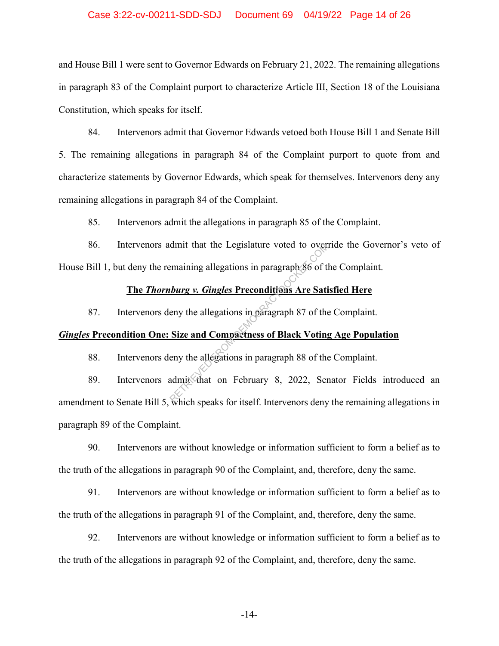## Case 3:22-cv-00211-SDD-SDJ Document 69 04/19/22 Page 14 of 26

and House Bill 1 were sent to Governor Edwards on February 21, 2022. The remaining allegations in paragraph 83 of the Complaint purport to characterize Article III, Section 18 of the Louisiana Constitution, which speaks for itself.

84. Intervenors admit that Governor Edwards vetoed both House Bill 1 and Senate Bill 5. The remaining allegations in paragraph 84 of the Complaint purport to quote from and characterize statements by Governor Edwards, which speak for themselves. Intervenors deny any remaining allegations in paragraph 84 of the Complaint.

85. Intervenors admit the allegations in paragraph 85 of the Complaint.

86. Intervenors admit that the Legislature voted to override the Governor's veto of House Bill 1, but deny the remaining allegations in paragraph 86 of the Complaint. dmit that the Legislature voted to over<br>
emaining allegations in paragraph 86 of the<br>
the street of the dividends in paragraph 87 of the<br>
Size and Compactness of Black Voting<br>
eny the allegations in paragraph 88 of the<br>
ad

# **The** *Thornburg v. Gingles* **Preconditions Are Satisfied Here**

87. Intervenors deny the allegations in paragraph 87 of the Complaint.

## *Gingles* **Precondition One: Size and Compactness of Black Voting Age Population**

88. Intervenors deny the allegations in paragraph 88 of the Complaint.

89. Intervenors admit that on February 8, 2022, Senator Fields introduced an amendment to Senate Bill 5, which speaks for itself. Intervenors deny the remaining allegations in paragraph 89 of the Complaint.

90. Intervenors are without knowledge or information sufficient to form a belief as to the truth of the allegations in paragraph 90 of the Complaint, and, therefore, deny the same.

91. Intervenors are without knowledge or information sufficient to form a belief as to the truth of the allegations in paragraph 91 of the Complaint, and, therefore, deny the same.

92. Intervenors are without knowledge or information sufficient to form a belief as to the truth of the allegations in paragraph 92 of the Complaint, and, therefore, deny the same.

-14-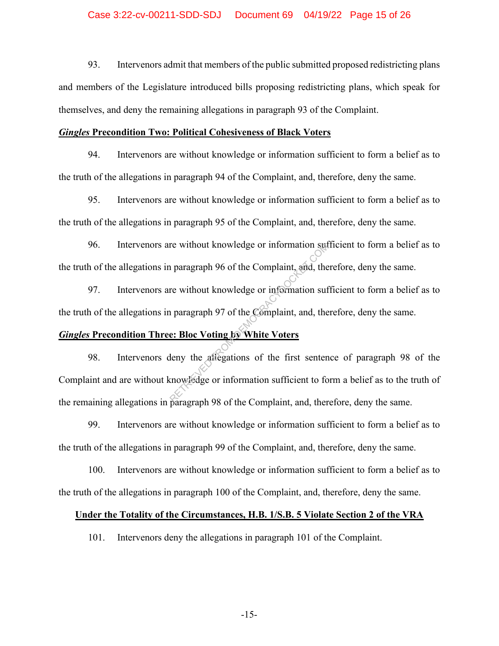93. Intervenors admit that members of the public submitted proposed redistricting plans and members of the Legislature introduced bills proposing redistricting plans, which speak for themselves, and deny the remaining allegations in paragraph 93 of the Complaint.

#### *Gingles* **Precondition Two: Political Cohesiveness of Black Voters**

94. Intervenors are without knowledge or information sufficient to form a belief as to the truth of the allegations in paragraph 94 of the Complaint, and, therefore, deny the same.

95. Intervenors are without knowledge or information sufficient to form a belief as to the truth of the allegations in paragraph 95 of the Complaint, and, therefore, deny the same.

96. Intervenors are without knowledge or information sufficient to form a belief as to the truth of the allegations in paragraph 96 of the Complaint, and, therefore, deny the same.

97. Intervenors are without knowledge or information sufficient to form a belief as to the truth of the allegations in paragraph 97 of the Complaint, and, therefore, deny the same.

## *Gingles* **Precondition Three: Bloc Voting by White Voters**

98. Intervenors deny the allegations of the first sentence of paragraph 98 of the Complaint and are without knowledge or information sufficient to form a belief as to the truth of the remaining allegations in paragraph 98 of the Complaint, and, therefore, deny the same. re without knowledge or information sufficient<br>
paragraph 96 of the Complaint, and, the<br>
re without knowledge or information suff<br>
paragraph 97 of the Complaint, and, the<br> **e: Bloc Voting by White Voters**<br>
deny the allegat

99. Intervenors are without knowledge or information sufficient to form a belief as to the truth of the allegations in paragraph 99 of the Complaint, and, therefore, deny the same.

100. Intervenors are without knowledge or information sufficient to form a belief as to the truth of the allegations in paragraph 100 of the Complaint, and, therefore, deny the same.

#### **Under the Totality of the Circumstances, H.B. 1/S.B. 5 Violate Section 2 of the VRA**

101. Intervenors deny the allegations in paragraph 101 of the Complaint.

-15-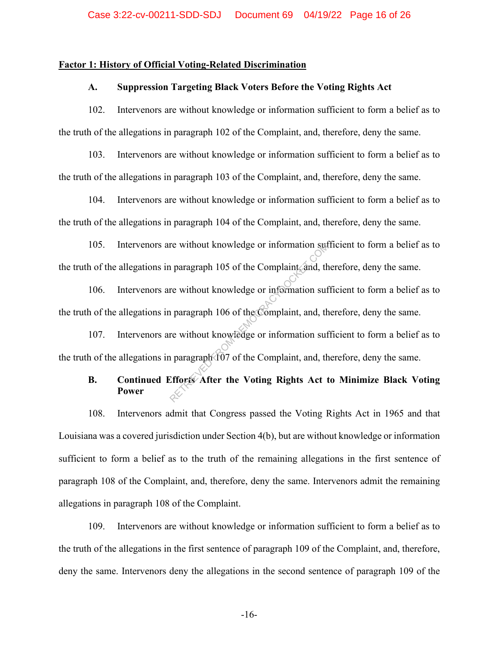## **Factor 1: History of Official Voting-Related Discrimination**

## **A. Suppression Targeting Black Voters Before the Voting Rights Act**

102. Intervenors are without knowledge or information sufficient to form a belief as to the truth of the allegations in paragraph 102 of the Complaint, and, therefore, deny the same.

103. Intervenors are without knowledge or information sufficient to form a belief as to the truth of the allegations in paragraph 103 of the Complaint, and, therefore, deny the same.

104. Intervenors are without knowledge or information sufficient to form a belief as to the truth of the allegations in paragraph 104 of the Complaint, and, therefore, deny the same.

105. Intervenors are without knowledge or information sufficient to form a belief as to the truth of the allegations in paragraph 105 of the Complaint, and, therefore, deny the same.

106. Intervenors are without knowledge or information sufficient to form a belief as to the truth of the allegations in paragraph 106 of the Complaint, and, therefore, deny the same. re without knowledge or information suffer a paragraph 105 of the Complaint and, there without knowledge or information suffer without knowledge or information suffer without knowledge or information suffer a paragraph 107

107. Intervenors are without knowledge or information sufficient to form a belief as to the truth of the allegations in paragraph 107 of the Complaint, and, therefore, deny the same.

# **B. Continued Efforts After the Voting Rights Act to Minimize Black Voting Power**

108. Intervenors admit that Congress passed the Voting Rights Act in 1965 and that Louisiana was a covered jurisdiction under Section 4(b), but are without knowledge or information sufficient to form a belief as to the truth of the remaining allegations in the first sentence of paragraph 108 of the Complaint, and, therefore, deny the same. Intervenors admit the remaining allegations in paragraph 108 of the Complaint.

109. Intervenors are without knowledge or information sufficient to form a belief as to the truth of the allegations in the first sentence of paragraph 109 of the Complaint, and, therefore, deny the same. Intervenors deny the allegations in the second sentence of paragraph 109 of the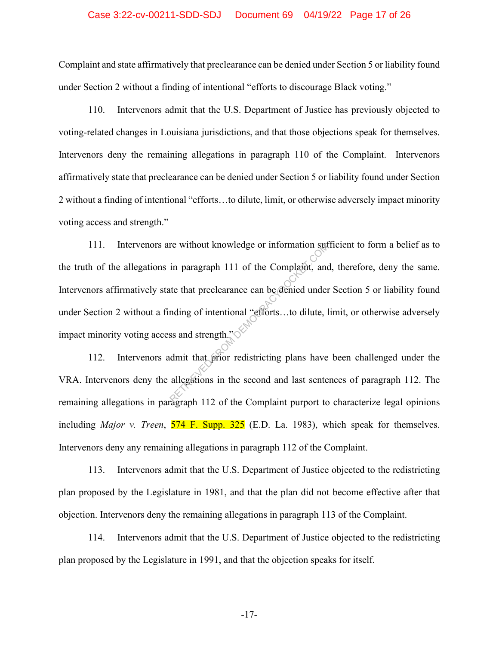#### Case 3:22-cv-00211-SDD-SDJ Document 69 04/19/22 Page 17 of 26

Complaint and state affirmatively that preclearance can be denied under Section 5 or liability found under Section 2 without a finding of intentional "efforts to discourage Black voting."

110. Intervenors admit that the U.S. Department of Justice has previously objected to voting-related changes in Louisiana jurisdictions, and that those objections speak for themselves. Intervenors deny the remaining allegations in paragraph 110 of the Complaint. Intervenors affirmatively state that preclearance can be denied under Section 5 or liability found under Section 2 without a finding of intentional "efforts…to dilute, limit, or otherwise adversely impact minority voting access and strength."

111. Intervenors are without knowledge or information sufficient to form a belief as to the truth of the allegations in paragraph 111 of the Complaint, and, therefore, deny the same. Intervenors affirmatively state that preclearance can be denied under Section 5 or liability found under Section 2 without a finding of intentional "efforts…to dilute, limit, or otherwise adversely impact minority voting access and strength." re without knowledge or information suff<br>in paragraph 111 of the Complaint, and<br>the that preclearance can be denied under<br>nding of intentional "efforts...to dilute, l<br>ss and strength."<br>dmit that prior redistricting plans h

112. Intervenors admit that prior redistricting plans have been challenged under the VRA. Intervenors deny the allegations in the second and last sentences of paragraph 112. The remaining allegations in paragraph 112 of the Complaint purport to characterize legal opinions including *Major v. Treen*, 574 F. Supp. 325 (E.D. La. 1983), which speak for themselves. Intervenors deny any remaining allegations in paragraph 112 of the Complaint.

113. Intervenors admit that the U.S. Department of Justice objected to the redistricting plan proposed by the Legislature in 1981, and that the plan did not become effective after that objection. Intervenors deny the remaining allegations in paragraph 113 of the Complaint.

114. Intervenors admit that the U.S. Department of Justice objected to the redistricting plan proposed by the Legislature in 1991, and that the objection speaks for itself.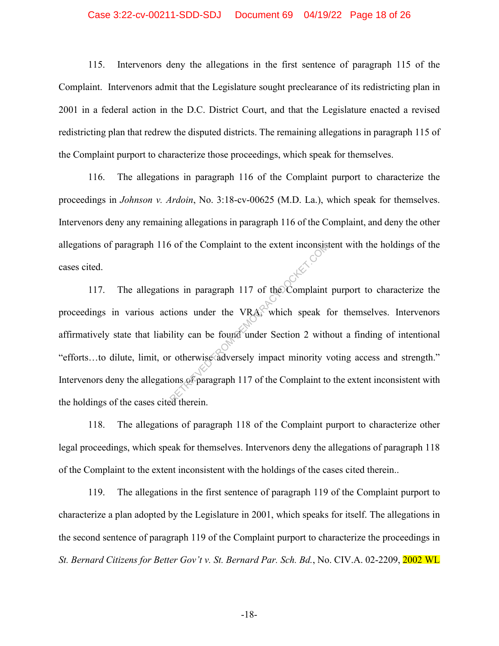## Case 3:22-cv-00211-SDD-SDJ Document 69 04/19/22 Page 18 of 26

115. Intervenors deny the allegations in the first sentence of paragraph 115 of the Complaint. Intervenors admit that the Legislature sought preclearance of its redistricting plan in 2001 in a federal action in the D.C. District Court, and that the Legislature enacted a revised redistricting plan that redrew the disputed districts. The remaining allegations in paragraph 115 of the Complaint purport to characterize those proceedings, which speak for themselves.

116. The allegations in paragraph 116 of the Complaint purport to characterize the proceedings in *Johnson v. Ardoin*, No. 3:18-cv-00625 (M.D. La.), which speak for themselves. Intervenors deny any remaining allegations in paragraph 116 of the Complaint, and deny the other allegations of paragraph 116 of the Complaint to the extent inconsistent with the holdings of the cases cited.

117. The allegations in paragraph 117 of the Complaint purport to characterize the proceedings in various actions under the VRA, which speak for themselves. Intervenors affirmatively state that liability can be found under Section 2 without a finding of intentional "efforts…to dilute, limit, or otherwise adversely impact minority voting access and strength." Intervenors deny the allegations of paragraph 117 of the Complaint to the extent inconsistent with the holdings of the cases cited therein. of the Complaint to the extent inconsists<br>
in paragraph 117 of the Complaint<br>
tions under the VRAC which speak for<br>
lility can be found under Section 2 with<br>
represent to the Complaint to<br>
therein

118. The allegations of paragraph 118 of the Complaint purport to characterize other legal proceedings, which speak for themselves. Intervenors deny the allegations of paragraph 118 of the Complaint to the extent inconsistent with the holdings of the cases cited therein..

119. The allegations in the first sentence of paragraph 119 of the Complaint purport to characterize a plan adopted by the Legislature in 2001, which speaks for itself. The allegations in the second sentence of paragraph 119 of the Complaint purport to characterize the proceedings in *St. Bernard Citizens for Better Gov't v. St. Bernard Par. Sch. Bd.*, No. CIV.A. 02-2209, 2002 WL

-18-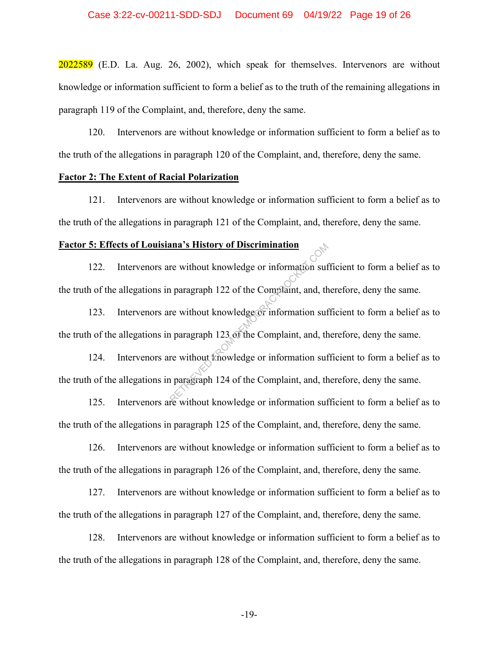2022589 (E.D. La. Aug. 26, 2002), which speak for themselves. Intervenors are without knowledge or information sufficient to form a belief as to the truth of the remaining allegations in paragraph 119 of the Complaint, and, therefore, deny the same.

120. Intervenors are without knowledge or information sufficient to form a belief as to the truth of the allegations in paragraph 120 of the Complaint, and, therefore, deny the same.

## **Factor 2: The Extent of Racial Polarization**

121. Intervenors are without knowledge or information sufficient to form a belief as to the truth of the allegations in paragraph 121 of the Complaint, and, therefore, deny the same.

# **Factor 5: Effects of Louisiana's History of Discrimination**

122. Intervenors are without knowledge or information sufficient to form a belief as to the truth of the allegations in paragraph 122 of the Complaint, and, therefore, deny the same. ana's History of Discrimination<br>re without knowledge or information suf<br>n paragraph 122 of the Complaint, and, th<br>re without knowledge or information suf<br>n paragraph 124 of the Complaint, and, th<br>n paragraph 124 of the Com

123. Intervenors are without knowledge or information sufficient to form a belief as to the truth of the allegations in paragraph 123 of the Complaint, and, therefore, deny the same.

124. Intervenors are without knowledge or information sufficient to form a belief as to the truth of the allegations in paragraph 124 of the Complaint, and, therefore, deny the same.

125. Intervenors are without knowledge or information sufficient to form a belief as to the truth of the allegations in paragraph 125 of the Complaint, and, therefore, deny the same.

126. Intervenors are without knowledge or information sufficient to form a belief as to the truth of the allegations in paragraph 126 of the Complaint, and, therefore, deny the same.

127. Intervenors are without knowledge or information sufficient to form a belief as to the truth of the allegations in paragraph 127 of the Complaint, and, therefore, deny the same.

128. Intervenors are without knowledge or information sufficient to form a belief as to the truth of the allegations in paragraph 128 of the Complaint, and, therefore, deny the same.

-19-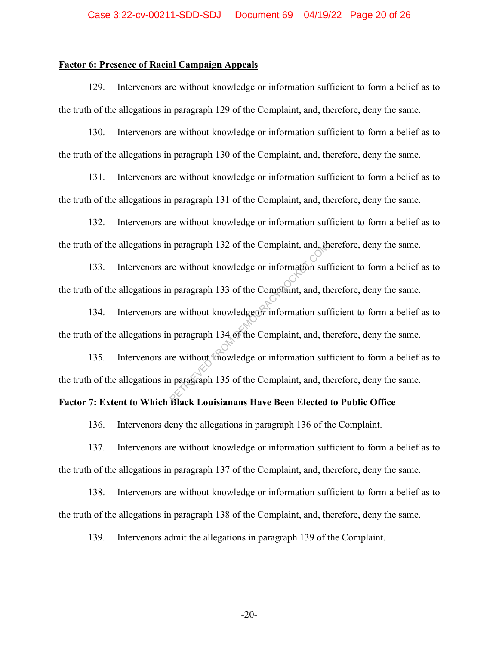# **Factor 6: Presence of Racial Campaign Appeals**

129. Intervenors are without knowledge or information sufficient to form a belief as to the truth of the allegations in paragraph 129 of the Complaint, and, therefore, deny the same.

130. Intervenors are without knowledge or information sufficient to form a belief as to the truth of the allegations in paragraph 130 of the Complaint, and, therefore, deny the same.

131. Intervenors are without knowledge or information sufficient to form a belief as to the truth of the allegations in paragraph 131 of the Complaint, and, therefore, deny the same.

132. Intervenors are without knowledge or information sufficient to form a belief as to the truth of the allegations in paragraph 132 of the Complaint, and, therefore, deny the same.

133. Intervenors are without knowledge or information sufficient to form a belief as to the truth of the allegations in paragraph 133 of the Complaint, and, therefore, deny the same.

134. Intervenors are without knowledge or information sufficient to form a belief as to the truth of the allegations in paragraph 134 of the Complaint, and, therefore, deny the same.

135. Intervenors are without knowledge or information sufficient to form a belief as to the truth of the allegations in paragraph 135 of the Complaint, and, therefore, deny the same. re without knowledge or information suffer<br>are without knowledge or information suffer<br>and the Complaint, and, the<br>re without knowledge or information suffer<br>are without knowledge or information suffer without knowledge or

## **Factor 7: Extent to Which Black Louisianans Have Been Elected to Public Office**

136. Intervenors deny the allegations in paragraph 136 of the Complaint.

137. Intervenors are without knowledge or information sufficient to form a belief as to the truth of the allegations in paragraph 137 of the Complaint, and, therefore, deny the same.

138. Intervenors are without knowledge or information sufficient to form a belief as to the truth of the allegations in paragraph 138 of the Complaint, and, therefore, deny the same.

139. Intervenors admit the allegations in paragraph 139 of the Complaint.

-20-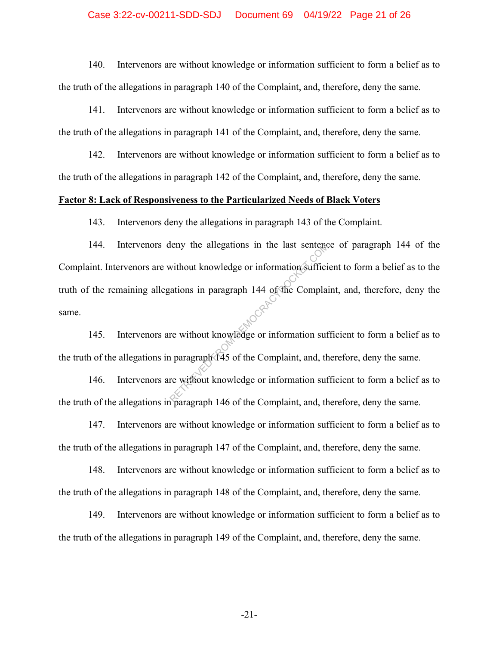## Case 3:22-cv-00211-SDD-SDJ Document 69 04/19/22 Page 21 of 26

140. Intervenors are without knowledge or information sufficient to form a belief as to the truth of the allegations in paragraph 140 of the Complaint, and, therefore, deny the same.

141. Intervenors are without knowledge or information sufficient to form a belief as to the truth of the allegations in paragraph 141 of the Complaint, and, therefore, deny the same.

142. Intervenors are without knowledge or information sufficient to form a belief as to the truth of the allegations in paragraph 142 of the Complaint, and, therefore, deny the same.

## **Factor 8: Lack of Responsiveness to the Particularized Needs of Black Voters**

143. Intervenors deny the allegations in paragraph 143 of the Complaint.

144. Intervenors deny the allegations in the last sentence of paragraph 144 of the Complaint. Intervenors are without knowledge or information sufficient to form a belief as to the truth of the remaining allegations in paragraph 144 of the Complaint, and, therefore, deny the same. Retaining the allegations in the last sentence<br>without knowledge or information sufficial<br>ations in paragraph 144 of the Complaint<br>re without knowledge or information suf<br>ne paragraph 145 of the Complaint, and, the<br>paragra

145. Intervenors are without knowledge or information sufficient to form a belief as to the truth of the allegations in paragraph 145 of the Complaint, and, therefore, deny the same.

146. Intervenors are without knowledge or information sufficient to form a belief as to the truth of the allegations in paragraph 146 of the Complaint, and, therefore, deny the same.

147. Intervenors are without knowledge or information sufficient to form a belief as to the truth of the allegations in paragraph 147 of the Complaint, and, therefore, deny the same.

148. Intervenors are without knowledge or information sufficient to form a belief as to the truth of the allegations in paragraph 148 of the Complaint, and, therefore, deny the same.

149. Intervenors are without knowledge or information sufficient to form a belief as to the truth of the allegations in paragraph 149 of the Complaint, and, therefore, deny the same.

-21-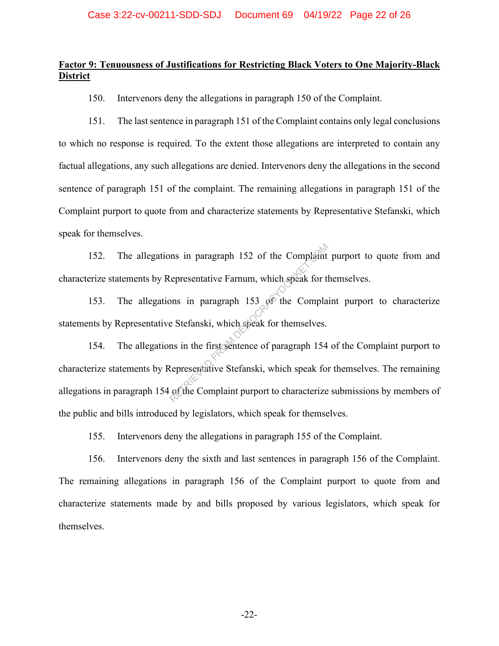# **Factor 9: Tenuousness of Justifications for Restricting Black Voters to One Majority-Black District**

150. Intervenors deny the allegations in paragraph 150 of the Complaint.

151. The last sentence in paragraph 151 of the Complaint contains only legal conclusions to which no response is required. To the extent those allegations are interpreted to contain any factual allegations, any such allegations are denied. Intervenors deny the allegations in the second sentence of paragraph 151 of the complaint. The remaining allegations in paragraph 151 of the Complaint purport to quote from and characterize statements by Representative Stefanski, which speak for themselves.

152. The allegations in paragraph 152 of the Complaint purport to quote from and characterize statements by Representative Farnum, which speak for themselves.

153. The allegations in paragraph 153 of the Complaint purport to characterize statements by Representative Stefanski, which speak for themselves.

154. The allegations in the first sentence of paragraph 154 of the Complaint purport to characterize statements by Representative Stefanski, which speak for themselves. The remaining allegations in paragraph 154 of the Complaint purport to characterize submissions by members of the public and bills introduced by legislators, which speak for themselves. In paragraph 152 of the Complaint<br>
Lepresentative Farnum, which speak for the<br>
Dons in paragraph 153 of the Compla<br>
E Stefanski, which speak for themselves.<br>
In the first sentence of paragraph 154<br>
Representative Stefanski

155. Intervenors deny the allegations in paragraph 155 of the Complaint.

156. Intervenors deny the sixth and last sentences in paragraph 156 of the Complaint. The remaining allegations in paragraph 156 of the Complaint purport to quote from and characterize statements made by and bills proposed by various legislators, which speak for themselves.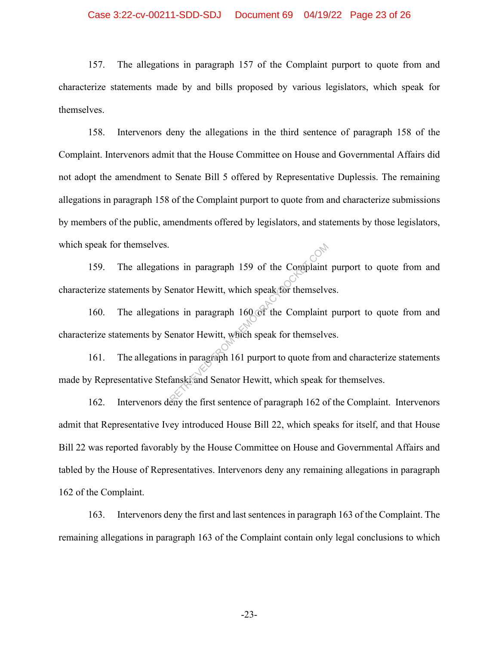157. The allegations in paragraph 157 of the Complaint purport to quote from and characterize statements made by and bills proposed by various legislators, which speak for themselves.

158. Intervenors deny the allegations in the third sentence of paragraph 158 of the Complaint. Intervenors admit that the House Committee on House and Governmental Affairs did not adopt the amendment to Senate Bill 5 offered by Representative Duplessis. The remaining allegations in paragraph 158 of the Complaint purport to quote from and characterize submissions by members of the public, amendments offered by legislators, and statements by those legislators, which speak for themselves.

159. The allegations in paragraph 159 of the Complaint purport to quote from and characterize statements by Senator Hewitt, which speak for themselves. Share in paragraph 159 of the Complaint<br>
enator Hewitt, which speak for themselve<br>
enator Hewitt, which speak for themselve<br>
and Senator Hewitt, which speak for<br>
fanski and Senator Hewitt, which speak for<br>
the first senten

160. The allegations in paragraph 160 of the Complaint purport to quote from and characterize statements by Senator Hewitt, which speak for themselves.

161. The allegations in paragraph 161 purport to quote from and characterize statements made by Representative Stefanski and Senator Hewitt, which speak for themselves.

162. Intervenors deny the first sentence of paragraph 162 of the Complaint. Intervenors admit that Representative Ivey introduced House Bill 22, which speaks for itself, and that House Bill 22 was reported favorably by the House Committee on House and Governmental Affairs and tabled by the House of Representatives. Intervenors deny any remaining allegations in paragraph 162 of the Complaint.

163. Intervenors deny the first and last sentences in paragraph 163 of the Complaint. The remaining allegations in paragraph 163 of the Complaint contain only legal conclusions to which

-23-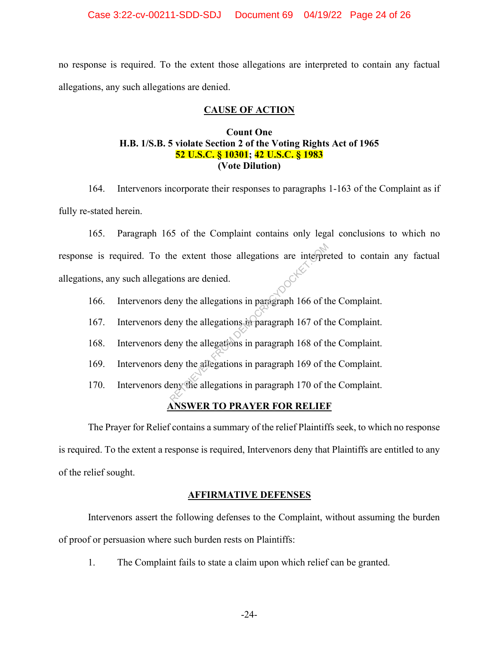no response is required. To the extent those allegations are interpreted to contain any factual allegations, any such allegations are denied.

## **CAUSE OF ACTION**

# **Count One H.B. 1/S.B. 5 violate Section 2 of the Voting Rights Act of 1965 52 U.S.C. § 10301; 42 U.S.C. § 1983 (Vote Dilution)**

164. Intervenors incorporate their responses to paragraphs 1-163 of the Complaint as if fully re-stated herein.

165. Paragraph 165 of the Complaint contains only legal conclusions to which no response is required. To the extent those allegations are interpreted to contain any factual allegations, any such allegations are denied. he extent those allegations are interpretions are denied.<br>
eny the allegations in paragraph 166 of the eny the allegations in paragraph 167 of the eny the allegations in paragraph 168 of the eny the allegations in paragrap

- 166. Intervenors deny the allegations in paragraph 166 of the Complaint.
- 167. Intervenors deny the allegations in paragraph 167 of the Complaint.
- 168. Intervenors deny the allegations in paragraph 168 of the Complaint.
- 169. Intervenors deny the allegations in paragraph 169 of the Complaint.
- 170. Intervenors deny the allegations in paragraph 170 of the Complaint.

# **ANSWER TO PRAYER FOR RELIEF**

The Prayer for Relief contains a summary of the relief Plaintiffs seek, to which no response is required. To the extent a response is required, Intervenors deny that Plaintiffs are entitled to any of the relief sought.

## **AFFIRMATIVE DEFENSES**

Intervenors assert the following defenses to the Complaint, without assuming the burden of proof or persuasion where such burden rests on Plaintiffs:

1. The Complaint fails to state a claim upon which relief can be granted.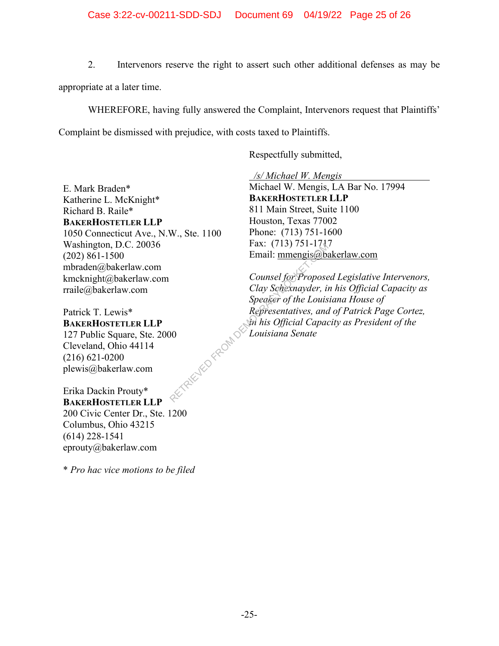2. Intervenors reserve the right to assert such other additional defenses as may be

appropriate at a later time.

WHEREFORE, having fully answered the Complaint, Intervenors request that Plaintiffs'

Complaint be dismissed with prejudice, with costs taxed to Plaintiffs.

Respectfully submitted,

*/s/ Michael W. Mengis* 

E. Mark Braden\* Katherine L. McKnight\* Richard B. Raile\* **BAKERHOSTETLER LLP** 1050 Connecticut Ave., N.W., Ste. 1100 Washington, D.C. 20036 (202) 861-1500 mbraden@bakerlaw.com kmcknight@bakerlaw.com rraile@bakerlaw.com

Patrick T. Lewis\* **BAKERHOSTETLER LLP** 127 Public Square, Ste. 2000 Cleveland, Ohio 44114 (216) 621-0200 plewis@bakerlaw.com KEYPER LEO FROM DE

Erika Dackin Prouty\* **BAKERHOSTETLER LLP** 200 Civic Center Dr., Ste. 1200 Columbus, Ohio 43215 (614) 228-1541 eprouty@bakerlaw.com

\* *Pro hac vice motions to be filed*

Michael W. Mengis, LA Bar No. 17994 **BAKERHOSTETLER LLP** 811 Main Street, Suite 1100 Houston, Texas 77002 Phone: (713) 751-1600 Fax: (713) 751-1717 Email: mmengis@bakerlaw.com

*Counsel for Proposed Legislative Intervenors, Clay Schexnayder, in his Official Capacity as Speaker of the Louisiana House of Representatives, and of Patrick Page Cortez, in his Official Capacity as President of the Louisiana Senate*